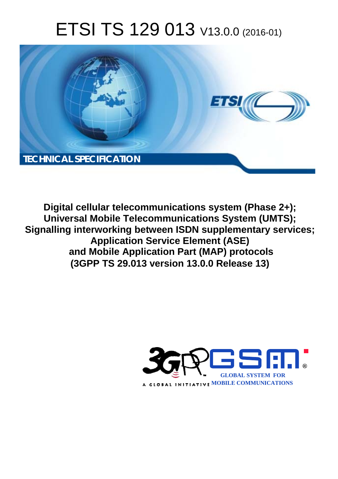# ETSI TS 129 013 V13.0.0 (2016-01)



**Digital cellular telecommunications system (Phase 2+); Universal Mobile Tel elecommunications System ( (UMTS); Signalling interworking between ISDN supplementary services; Applicatio tion Service Element (ASE)** and Mobile Application Part (MAP) protocols **(3GPP TS 29.0 .013 version 13.0.0 Release 13 13)** 

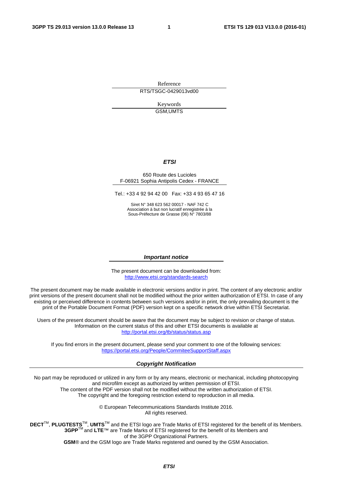Reference RTS/TSGC-0429013vd00

> Keywords GSM,UMTS

#### *ETSI*

#### 650 Route des Lucioles F-06921 Sophia Antipolis Cedex - FRANCE

Tel.: +33 4 92 94 42 00 Fax: +33 4 93 65 47 16

Siret N° 348 623 562 00017 - NAF 742 C Association à but non lucratif enregistrée à la Sous-Préfecture de Grasse (06) N° 7803/88

#### *Important notice*

The present document can be downloaded from: <http://www.etsi.org/standards-search>

The present document may be made available in electronic versions and/or in print. The content of any electronic and/or print versions of the present document shall not be modified without the prior written authorization of ETSI. In case of any existing or perceived difference in contents between such versions and/or in print, the only prevailing document is the print of the Portable Document Format (PDF) version kept on a specific network drive within ETSI Secretariat.

Users of the present document should be aware that the document may be subject to revision or change of status. Information on the current status of this and other ETSI documents is available at <http://portal.etsi.org/tb/status/status.asp>

If you find errors in the present document, please send your comment to one of the following services: <https://portal.etsi.org/People/CommiteeSupportStaff.aspx>

#### *Copyright Notification*

No part may be reproduced or utilized in any form or by any means, electronic or mechanical, including photocopying and microfilm except as authorized by written permission of ETSI.

The content of the PDF version shall not be modified without the written authorization of ETSI. The copyright and the foregoing restriction extend to reproduction in all media.

> © European Telecommunications Standards Institute 2016. All rights reserved.

**DECT**TM, **PLUGTESTS**TM, **UMTS**TM and the ETSI logo are Trade Marks of ETSI registered for the benefit of its Members. **3GPP**TM and **LTE**™ are Trade Marks of ETSI registered for the benefit of its Members and of the 3GPP Organizational Partners.

**GSM**® and the GSM logo are Trade Marks registered and owned by the GSM Association.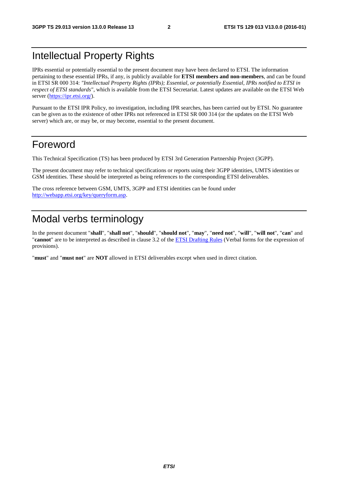## Intellectual Property Rights

IPRs essential or potentially essential to the present document may have been declared to ETSI. The information pertaining to these essential IPRs, if any, is publicly available for **ETSI members and non-members**, and can be found in ETSI SR 000 314: *"Intellectual Property Rights (IPRs); Essential, or potentially Essential, IPRs notified to ETSI in respect of ETSI standards"*, which is available from the ETSI Secretariat. Latest updates are available on the ETSI Web server ([https://ipr.etsi.org/\)](https://ipr.etsi.org/).

Pursuant to the ETSI IPR Policy, no investigation, including IPR searches, has been carried out by ETSI. No guarantee can be given as to the existence of other IPRs not referenced in ETSI SR 000 314 (or the updates on the ETSI Web server) which are, or may be, or may become, essential to the present document.

## Foreword

This Technical Specification (TS) has been produced by ETSI 3rd Generation Partnership Project (3GPP).

The present document may refer to technical specifications or reports using their 3GPP identities, UMTS identities or GSM identities. These should be interpreted as being references to the corresponding ETSI deliverables.

The cross reference between GSM, UMTS, 3GPP and ETSI identities can be found under [http://webapp.etsi.org/key/queryform.asp.](http://webapp.etsi.org/key/queryform.asp)

## Modal verbs terminology

In the present document "**shall**", "**shall not**", "**should**", "**should not**", "**may**", "**need not**", "**will**", "**will not**", "**can**" and "**cannot**" are to be interpreted as described in clause 3.2 of the [ETSI Drafting Rules](http://portal.etsi.org/Help/editHelp!/Howtostart/ETSIDraftingRules.aspx) (Verbal forms for the expression of provisions).

"**must**" and "**must not**" are **NOT** allowed in ETSI deliverables except when used in direct citation.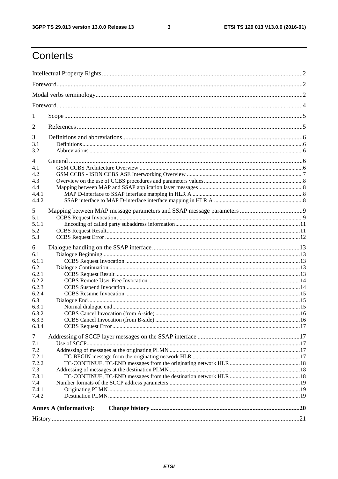$\mathbf{3}$ 

## Contents

| $\perp$                |  |  |  |
|------------------------|--|--|--|
| 2                      |  |  |  |
| 3                      |  |  |  |
| 3.1<br>3.2             |  |  |  |
| 4                      |  |  |  |
| 4.1                    |  |  |  |
| 4.2                    |  |  |  |
| 4.3                    |  |  |  |
| 4.4                    |  |  |  |
| 4.4.1                  |  |  |  |
| 4.4.2                  |  |  |  |
| 5                      |  |  |  |
| 5.1                    |  |  |  |
| 5.1.1                  |  |  |  |
| 5.2                    |  |  |  |
| 5.3                    |  |  |  |
| 6                      |  |  |  |
| 6.1                    |  |  |  |
| 6.1.1                  |  |  |  |
| 6.2                    |  |  |  |
| 6.2.1                  |  |  |  |
| 6.2.2                  |  |  |  |
| 6.2.3                  |  |  |  |
| 6.2.4                  |  |  |  |
| 6.3                    |  |  |  |
| 6.3.1                  |  |  |  |
| 6.3.2                  |  |  |  |
| 6.3.3                  |  |  |  |
| 6.3.4                  |  |  |  |
| 7                      |  |  |  |
| 7.1                    |  |  |  |
| 7.2                    |  |  |  |
| 7.2.1                  |  |  |  |
| 7.2.2                  |  |  |  |
| 7.3                    |  |  |  |
| 7.3.1                  |  |  |  |
| 7.4                    |  |  |  |
| 7.4.1                  |  |  |  |
| 7.4.2                  |  |  |  |
|                        |  |  |  |
| Annex A (informative): |  |  |  |
|                        |  |  |  |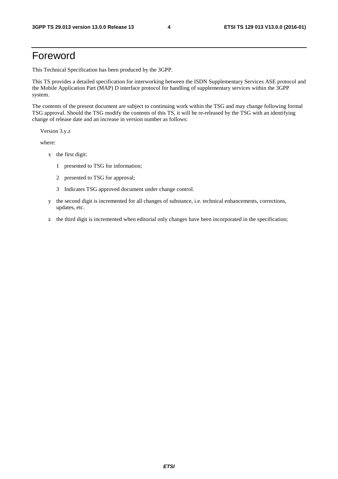## Foreword

This Technical Specification has been produced by the 3GPP.

This TS provides a detailed specification for interworking between the ISDN Supplementary Services ASE protocol and the Mobile Application Part (MAP) D interface protocol for handling of supplementary services within the 3GPP system.

The contents of the present document are subject to continuing work within the TSG and may change following formal TSG approval. Should the TSG modify the contents of this TS, it will be re-released by the TSG with an identifying change of release date and an increase in version number as follows:

Version 3.y.z

where:

- x the first digit:
	- 1 presented to TSG for information;
	- 2 presented to TSG for approval;
	- 3 Indicates TSG approved document under change control.
- y the second digit is incremented for all changes of substance, i.e. technical enhancements, corrections, updates, etc.
- z the third digit is incremented when editorial only changes have been incorporated in the specification;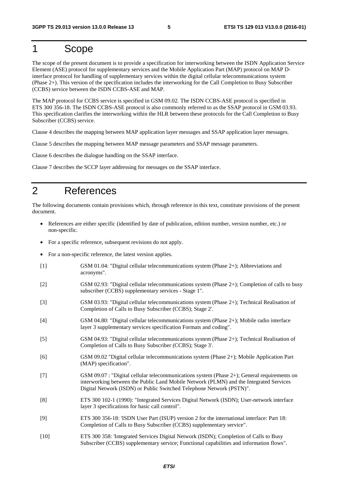## 1 Scope

The scope of the present document is to provide a specification for interworking between the ISDN Application Service Element (ASE) protocol for supplementary services and the Mobile Application Part (MAP) protocol on MAP Dinterface protocol for handling of supplementary services within the digital cellular telecommunications system (Phase 2+). This version of the specification includes the interworking for the Call Completion to Busy Subscriber (CCBS) service between the ISDN CCBS-ASE and MAP.

The MAP protocol for CCBS service is specified in GSM 09.02. The ISDN CCBS-ASE protocol is specified in ETS 300 356-18. The ISDN CCBS-ASE protocol is also commonly referred to as the SSAP protocol in GSM 03.93. This specification clarifies the interworking within the HLR between these protocols for the Call Completion to Busy Subscriber (CCBS) service.

Clause 4 describes the mapping between MAP application layer messages and SSAP application layer messages.

Clause 5 describes the mapping between MAP message parameters and SSAP message parameters.

Clause 6 describes the dialogue handling on the SSAP interface.

Clause 7 describes the SCCP layer addressing for messages on the SSAP interface.

## 2 References

The following documents contain provisions which, through reference in this text, constitute provisions of the present document.

- References are either specific (identified by date of publication, edition number, version number, etc.) or non-specific.
- For a specific reference, subsequent revisions do not apply.
- For a non-specific reference, the latest version applies.
- [1] GSM 01.04: "Digital cellular telecommunications system (Phase 2+); Abbreviations and acronyms".
- [2] GSM 02.93: "Digital cellular telecommunications system (Phase 2+); Completion of calls to busy subscriber (CCBS) supplementary services - Stage 1".
- [3] GSM 03.93: "Digital cellular telecommunications system (Phase 2+); Technical Realisation of Completion of Calls to Busy Subscriber (CCBS); Stage 2'.
- [4] GSM 04.80: "Digital cellular telecommunications system (Phase 2+); Mobile radio interface layer 3 supplementary services specification Formats and coding".
- [5] GSM 04.93: "Digital cellular telecommunications system (Phase 2+); Technical Realisation of Completion of Calls to Busy Subscriber (CCBS); Stage 3'.
- [6] GSM 09.02 "Digital cellular telecommunications system (Phase 2+); Mobile Application Part (MAP) specification".
- [7] GSM 09.07 : "Digital cellular telecommunications system (Phase 2+); General requirements on interworking between the Public Land Mobile Network (PLMN) and the Integrated Services Digital Network (ISDN) or Public Switched Telephone Network (PSTN)".
- [8] ETS 300 102-1 (1990): "Integrated Services Digital Network (ISDN); User-network interface layer 3 specifications for basic call control".
- [9] ETS 300 356-18: 'ISDN User Part (ISUP) version 2 for the international interface: Part 18: Completion of Calls to Busy Subscriber (CCBS) supplementary service".
- [10] ETS 300 358: 'Integrated Services Digital Network (ISDN); Completion of Calls to Busy Subscriber (CCBS) supplementary service; Functional capabilities and information flows".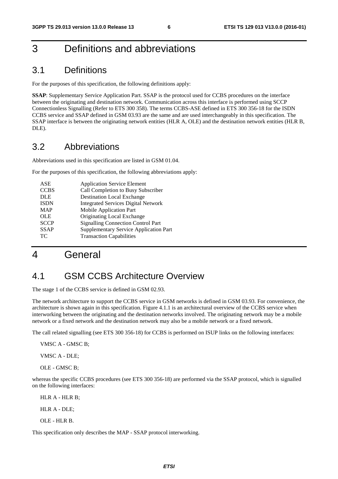## 3 Definitions and abbreviations

## 3.1 Definitions

For the purposes of this specification, the following definitions apply:

**SSAP**: Supplementary Service Application Part. SSAP is the protocol used for CCBS procedures on the interface between the originating and destination network. Communication across this interface is performed using SCCP Connectionless Signalling (Refer to ETS 300 358). The terms CCBS-ASE defined in ETS 300 356-18 for the ISDN CCBS service and SSAP defined in GSM 03.93 are the same and are used interchangeably in this specification. The SSAP interface is between the originating network entities (HLR A, OLE) and the destination network entities (HLR B, DLE).

## 3.2 Abbreviations

Abbreviations used in this specification are listed in GSM 01.04.

For the purposes of this specification, the following abbreviations apply:

| <b>ASE</b>  | <b>Application Service Element</b>            |
|-------------|-----------------------------------------------|
| <b>CCBS</b> | Call Completion to Busy Subscriber            |
| <b>DLE</b>  | <b>Destination Local Exchange</b>             |
| <b>ISDN</b> | <b>Integrated Services Digital Network</b>    |
| <b>MAP</b>  | <b>Mobile Application Part</b>                |
| <b>OLE</b>  | Originating Local Exchange                    |
| <b>SCCP</b> | <b>Signalling Connection Control Part</b>     |
| <b>SSAP</b> | <b>Supplementary Service Application Part</b> |
| TC.         | <b>Transaction Capabilities</b>               |
|             |                                               |

## 4 General

## 4.1 GSM CCBS Architecture Overview

The stage 1 of the CCBS service is defined in GSM 02.93.

The network architecture to support the CCBS service in GSM networks is defined in GSM 03.93. For convenience, the architecture is shown again in this specification. Figure 4.1.1 is an architectural overview of the CCBS service when interworking between the originating and the destination networks involved. The originating network may be a mobile network or a fixed network and the destination network may also be a mobile network or a fixed network.

The call related signalling (see ETS 300 356-18) for CCBS is performed on ISUP links on the following interfaces:

VMSC A - GMSC B;

VMSC A - DLE;

OLE - GMSC B;

whereas the specific CCBS procedures (see ETS 300 356-18) are performed via the SSAP protocol, which is signalled on the following interfaces:

HLR A - HLR B;

HLR A - DLE;

OLE - HLR B.

This specification only describes the MAP - SSAP protocol interworking.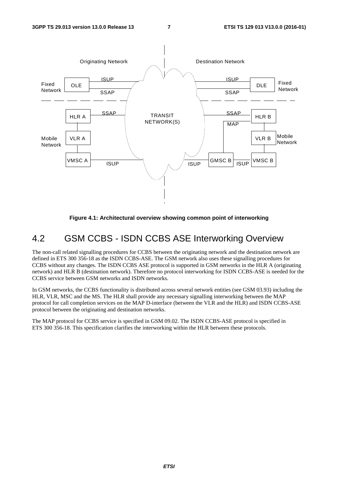

**Figure 4.1: Architectural overview showing common point of interworking** 

## 4.2 GSM CCBS - ISDN CCBS ASE Interworking Overview

The non-call related signalling procedures for CCBS between the originating network and the destination network are defined in ETS 300 356-18 as the ISDN CCBS-ASE. The GSM network also uses these signalling procedures for CCBS without any changes. The ISDN CCBS ASE protocol is supported in GSM networks in the HLR A (originating network) and HLR B (destination network). Therefore no protocol interworking for ISDN CCBS-ASE is needed for the CCBS service between GSM networks and ISDN networks.

In GSM networks, the CCBS functionality is distributed across several network entities (see GSM 03.93) including the HLR, VLR, MSC and the MS. The HLR shall provide any necessary signalling interworking between the MAP protocol for call completion services on the MAP D-interface (between the VLR and the HLR) and ISDN CCBS-ASE protocol between the originating and destination networks.

The MAP protocol for CCBS service is specified in GSM 09.02. The ISDN CCBS-ASE protocol is specified in ETS 300 356-18. This specification clarifies the interworking within the HLR between these protocols.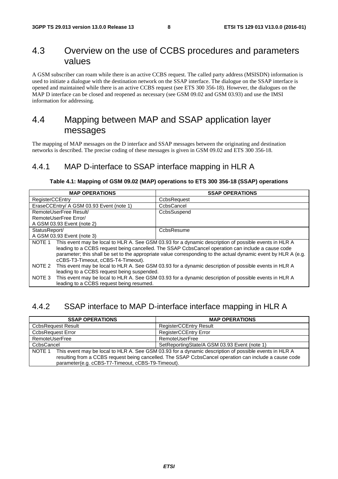## 4.3 Overview on the use of CCBS procedures and parameters values

A GSM subscriber can roam while there is an active CCBS request. The called party address (MSISDN) information is used to initiate a dialogue with the destination network on the SSAP interface. The dialogue on the SSAP interface is opened and maintained while there is an active CCBS request (see ETS 300 356-18). However, the dialogues on the MAP D interface can be closed and reopened as necessary (see GSM 09.02 and GSM 03.93) and use the IMSI information for addressing.

## 4.4 Mapping between MAP and SSAP application layer messages

The mapping of MAP messages on the D interface and SSAP messages between the originating and destination networks is described. The precise coding of these messages is given in GSM 09.02 and ETS 300 356-18.

### 4.4.1 MAP D-interface to SSAP interface mapping in HLR A

#### **Table 4.1: Mapping of GSM 09.02 (MAP) operations to ETS 300 356-18 (SSAP) operations**

| <b>MAP OPERATIONS</b>                      | <b>SSAP OPERATIONS</b>                                                                                         |  |  |
|--------------------------------------------|----------------------------------------------------------------------------------------------------------------|--|--|
| <b>RegisterCCEntry</b>                     | CcbsRequest                                                                                                    |  |  |
| EraseCCEntry/ A GSM 03.93 Event (note 1)   | CcbsCancel                                                                                                     |  |  |
| RemoteUserFree Result/                     | CcbsSuspend                                                                                                    |  |  |
| RemoteUserFree Error/                      |                                                                                                                |  |  |
| A GSM 03.93 Event (note 2)                 |                                                                                                                |  |  |
| StatusReport/                              | CcbsResume                                                                                                     |  |  |
| A GSM 03.93 Event (note 3)                 |                                                                                                                |  |  |
| NOTE 1                                     | This event may be local to HLR A. See GSM 03.93 for a dynamic description of possible events in HLR A          |  |  |
|                                            | leading to a CCBS request being cancelled. The SSAP CcbsCancel operation can include a cause code              |  |  |
|                                            | parameter; this shall be set to the appropriate value corresponding to the actual dynamic event by HLR A (e.g. |  |  |
|                                            | cCBS-T3-Timeout, cCBS-T4-Timeout).                                                                             |  |  |
| NOTE 2                                     | This event may be local to HLR A. See GSM 03.93 for a dynamic description of possible events in HLR A          |  |  |
| leading to a CCBS request being suspended. |                                                                                                                |  |  |
| NOTE 3                                     | This event may be local to HLR A. See GSM 03.93 for a dynamic description of possible events in HLR A          |  |  |
| leading to a CCBS request being resumed.   |                                                                                                                |  |  |

### 4.4.2 SSAP interface to MAP D-interface interface mapping in HLR A

| <b>SSAP OPERATIONS</b>                                                                                                                                                                                                                                                        | <b>MAP OPERATIONS</b>                        |  |
|-------------------------------------------------------------------------------------------------------------------------------------------------------------------------------------------------------------------------------------------------------------------------------|----------------------------------------------|--|
| <b>CcbsRequest Result</b>                                                                                                                                                                                                                                                     | <b>RegisterCCEntry Result</b>                |  |
| <b>CcbsRequest Error</b>                                                                                                                                                                                                                                                      | <b>RegisterCCEntry Error</b>                 |  |
| RemoteUserFree                                                                                                                                                                                                                                                                | RemoteUserFree                               |  |
| CcbsCancel                                                                                                                                                                                                                                                                    | SetReportingState/A GSM 03.93 Event (note 1) |  |
| This event may be local to HLR A. See GSM 03.93 for a dynamic description of possible events in HLR A<br>NOTE 1<br>resulting from a CCBS request being cancelled. The SSAP CcbsCancel operation can include a cause code<br>parameter(e.g. cCBS-T7-Timeout, cCBS-T9-Timeout). |                                              |  |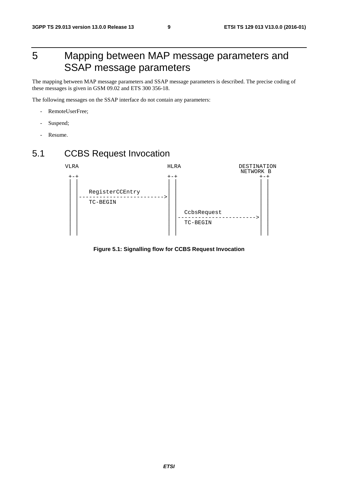## 5 Mapping between MAP message parameters and SSAP message parameters

The mapping between MAP message parameters and SSAP message parameters is described. The precise coding of these messages is given in GSM 09.02 and ETS 300 356-18.

The following messages on the SSAP interface do not contain any parameters:

- RemoteUserFree;
- Suspend;
- Resume.

## 5.1 CCBS Request Invocation



**Figure 5.1: Signalling flow for CCBS Request Invocation**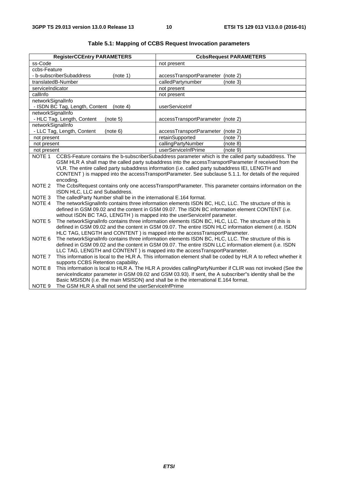|                   | <b>RegisterCCEntry PARAMETERS</b>                                                                                                                                                                         |                                   | <b>CcbsRequest PARAMETERS</b> |
|-------------------|-----------------------------------------------------------------------------------------------------------------------------------------------------------------------------------------------------------|-----------------------------------|-------------------------------|
| ss-Code           |                                                                                                                                                                                                           | not present                       |                               |
| ccbs-Feature      |                                                                                                                                                                                                           |                                   |                               |
|                   | - b-subscriberSubaddress<br>(note 1)                                                                                                                                                                      | accessTransportParameter (note 2) |                               |
|                   | translatedB-Number                                                                                                                                                                                        | calledPartynumber                 | (note 3)                      |
| serviceIndicator  |                                                                                                                                                                                                           | not present                       |                               |
| callInfo          |                                                                                                                                                                                                           | not present                       |                               |
| networkSignalInfo |                                                                                                                                                                                                           |                                   |                               |
|                   | - ISDN BC Tag, Length, Content<br>(note 4)                                                                                                                                                                | userServiceInf                    |                               |
| networkSignalInfo |                                                                                                                                                                                                           |                                   |                               |
|                   | - HLC Tag, Length, Content<br>(note 5)                                                                                                                                                                    | accessTransportParameter (note 2) |                               |
| networkSignalInfo |                                                                                                                                                                                                           |                                   |                               |
|                   | - LLC Tag, Length, Content<br>(note 6)                                                                                                                                                                    | accessTransportParameter (note 2) |                               |
| not present       |                                                                                                                                                                                                           | retainSupported                   | (note 7)                      |
| not present       |                                                                                                                                                                                                           | callingPartyNumber                | (note 8)                      |
| not present       |                                                                                                                                                                                                           | userServiceInfPrime               | (note 9)                      |
| NOTE <sub>1</sub> | CCBS-Feature contains the b-subscriberSubaddress parameter which is the called party subaddress. The                                                                                                      |                                   |                               |
|                   | GSM HLR A shall map the called party subaddress into the accessTransportParameter if received from the                                                                                                    |                                   |                               |
|                   | VLR. The entire called party subaddress information (i.e. called party subaddress IEI, LENGTH and                                                                                                         |                                   |                               |
|                   | CONTENT) is mapped into the accessTransportParameter. See subclause 5.1.1. for details of the required                                                                                                    |                                   |                               |
| NOTE <sub>2</sub> | encoding.<br>The CcbsRequest contains only one accessTransportParameter. This parameter contains information on the                                                                                       |                                   |                               |
|                   | ISDN HLC, LLC and Subaddress.                                                                                                                                                                             |                                   |                               |
| NOTE <sub>3</sub> | The calledParty Number shall be in the international E.164 format.                                                                                                                                        |                                   |                               |
| NOTE 4            |                                                                                                                                                                                                           |                                   |                               |
|                   | The networkSignalInfo contains three information elements ISDN BC, HLC, LLC. The structure of this is<br>defined in GSM 09.02 and the content in GSM 09.07. The ISDN BC information element CONTENT (i.e. |                                   |                               |
|                   | without ISDN BC TAG, LENGTH) is mapped into the userServiceInf parameter.                                                                                                                                 |                                   |                               |
| NOTE <sub>5</sub> | The networkSignalInfo contains three information elements ISDN BC, HLC, LLC. The structure of this is                                                                                                     |                                   |                               |
|                   | defined in GSM 09.02 and the content in GSM 09.07. The entire ISDN HLC information element (i.e. ISDN                                                                                                     |                                   |                               |
|                   | HLC TAG, LENGTH and CONTENT) is mapped into the accessTransportParameter.                                                                                                                                 |                                   |                               |
| NOTE <sub>6</sub> | The networkSignalInfo contains three information elements ISDN BC, HLC, LLC. The structure of this is                                                                                                     |                                   |                               |
|                   | defined in GSM 09.02 and the content in GSM 09.07. The entire ISDN LLC information element (i.e. ISDN                                                                                                     |                                   |                               |
|                   | LLC TAG, LENGTH and CONTENT) is mapped into the accessTransportParameter.                                                                                                                                 |                                   |                               |
| NOTE <sub>7</sub> | This information is local to the HLR A. This information element shall be coded by HLR A to reflect whether it                                                                                            |                                   |                               |
|                   | supports CCBS Retention capability.                                                                                                                                                                       |                                   |                               |
| NOTE 8            | This information is local to HLR A. The HLR A provides callingPartyNumber if CLIR was not invoked (See the                                                                                                |                                   |                               |
|                   | serviceIndicator parameter in GSM 09.02 and GSM 03.93). If sent, the A subscriber"s identity shall be the<br>Basic MSISDN (i.e. the main MSISDN) and shall be in the international E.164 format.          |                                   |                               |
|                   |                                                                                                                                                                                                           |                                   |                               |
| NOTE <sub>9</sub> | The GSM HLR A shall not send the userServiceInfPrime                                                                                                                                                      |                                   |                               |

#### **Table 5.1: Mapping of CCBS Request Invocation parameters**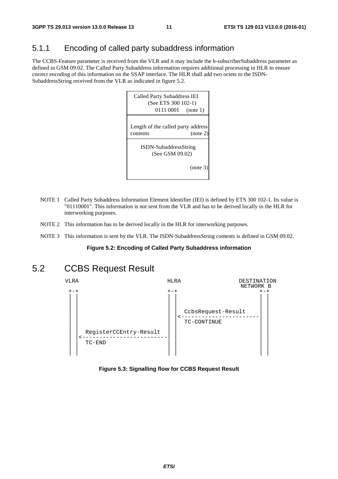## 5.1.1 Encoding of called party subaddress information

The CCBS-Feature parameter is received from the VLR and it may include the b-subscriberSubaddress parameter as defined in GSM 09.02. The Called Party Subaddress information requires additional processing in HLR to ensure correct encoding of this information on the SSAP interface. The HLR shall add two octets to the ISDN-SubaddressString received from the VLR as indicated in figure 5.2.



- NOTE 1 Called Party Subaddress Information Element Identifier (IEI) is defined by ETS 300 102-1. Its value is "01110001". This information is not sent from the VLR and has to be derived locally in the HLR for interworking purposes.
- NOTE 2 This information has to be derived locally in the HLR for interworking purposes.
- NOTE 3 This information is sent by the VLR. The ISDN-SubaddressString contents is defined in GSM 09.02.

#### **Figure 5.2: Encoding of Called Party Subaddress information**

## 5.2 CCBS Request Result



#### **Figure 5.3: Signalling flow for CCBS Request Result**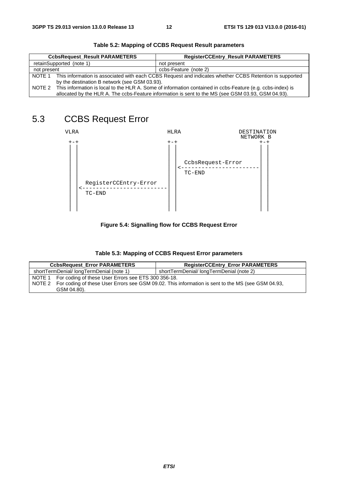|             | <b>CcbsRequest Result PARAMETERS</b>                                                                           | <b>RegisterCCEntry_Result PARAMETERS</b>                                                           |
|-------------|----------------------------------------------------------------------------------------------------------------|----------------------------------------------------------------------------------------------------|
|             | retainSupported (note 1)                                                                                       | not present                                                                                        |
| not present |                                                                                                                | ccbs-Feature (note 2)                                                                              |
|             | NOTE 1 This information is associated with each CCBS Request and indicates whether CCBS Retention is supported |                                                                                                    |
|             | by the destination B network (see GSM 03.93).                                                                  |                                                                                                    |
| NOTE 2      | This information is local to the HLR A. Some of information contained in ccbs-Feature (e.g. ccbs-index) is     |                                                                                                    |
|             |                                                                                                                | allocated by the HLR A. The ccbs-Feature information is sent to the MS (see GSM 03.93, GSM 04.93). |

#### **Table 5.2: Mapping of CCBS Request Result parameters**

## 5.3 CCBS Request Error



#### **Figure 5.4: Signalling flow for CCBS Request Error**

| <b>CcbsRequest_Error PARAMETERS</b>                        | <b>RegisterCCEntry_Error PARAMETERS</b>                                                                  |  |
|------------------------------------------------------------|----------------------------------------------------------------------------------------------------------|--|
| shortTermDenial/longTermDenial (note 1)                    | shortTermDenial/longTermDenial (note 2)                                                                  |  |
| NOTE 1 For coding of these User Errors see ETS 300 356-18. |                                                                                                          |  |
|                                                            | NOTE 2 For coding of these User Errors see GSM 09.02. This information is sent to the MS (see GSM 04.93, |  |
| GSM 04.80).                                                |                                                                                                          |  |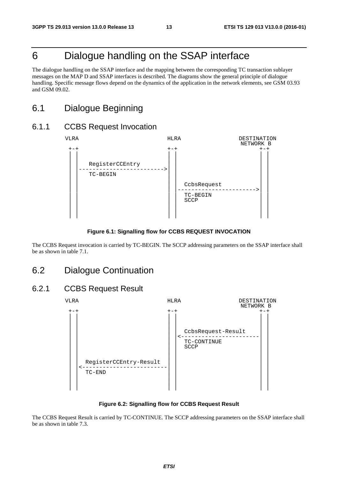## 6 Dialogue handling on the SSAP interface

The dialogue handling on the SSAP interface and the mapping between the corresponding TC transaction sublayer messages on the MAP D and SSAP interfaces is described. The diagrams show the general principle of dialogue handling. Specific message flows depend on the dynamics of the application in the network elements, see GSM 03.93 and GSM 09.02.

## 6.1 Dialogue Beginning

#### 6.1.1 CCBS Request Invocation



#### **Figure 6.1: Signalling flow for CCBS REQUEST INVOCATION**

The CCBS Request invocation is carried by TC-BEGIN. The SCCP addressing parameters on the SSAP interface shall be as shown in table 7.1.

### 6.2 Dialogue Continuation

#### 6.2.1 CCBS Request Result



**Figure 6.2: Signalling flow for CCBS Request Result** 

The CCBS Request Result is carried by TC-CONTINUE. The SCCP addressing parameters on the SSAP interface shall be as shown in table 7.3.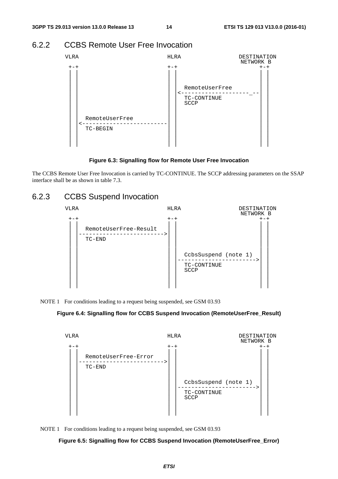### 6.2.2 CCBS Remote User Free Invocation



**Figure 6.3: Signalling flow for Remote User Free Invocation** 

The CCBS Remote User Free Invocation is carried by TC-CONTINUE. The SCCP addressing parameters on the SSAP interface shall be as shown in table 7.3.

## 6.2.3 CCBS Suspend Invocation



NOTE 1 For conditions leading to a request being suspended, see GSM 03.93

#### **Figure 6.4: Signalling flow for CCBS Suspend Invocation (RemoteUserFree\_Result)**





**Figure 6.5: Signalling flow for CCBS Suspend Invocation (RemoteUserFree\_Error)**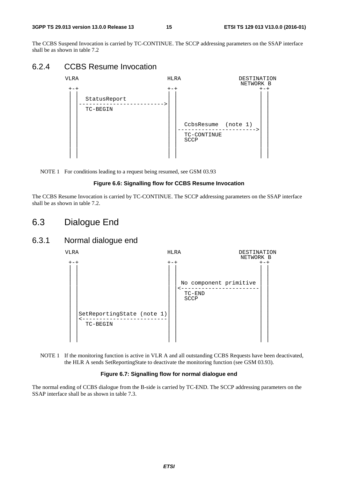#### **3GPP TS 29.013 version 13.0.0 Release 13 15 ETSI TS 129 013 V13.0.0 (2016-01)**

The CCBS Suspend Invocation is carried by TC-CONTINUE. The SCCP addressing parameters on the SSAP interface shall be as shown in table 7.2

## 6.2.4 CCBS Resume Invocation



NOTE 1 For conditions leading to a request being resumed, see GSM 03.93

#### **Figure 6.6: Signalling flow for CCBS Resume Invocation**

The CCBS Resume Invocation is carried by TC-CONTINUE. The SCCP addressing parameters on the SSAP interface shall be as shown in table 7.2.

## 6.3 Dialogue End

### 6.3.1 Normal dialogue end



NOTE 1 If the monitoring function is active in VLR A and all outstanding CCBS Requests have been deactivated, the HLR A sends SetReportingState to deactivate the monitoring function (see GSM 03.93).

#### **Figure 6.7: Signalling flow for normal dialogue end**

The normal ending of CCBS dialogue from the B-side is carried by TC-END. The SCCP addressing parameters on the SSAP interface shall be as shown in table 7.3.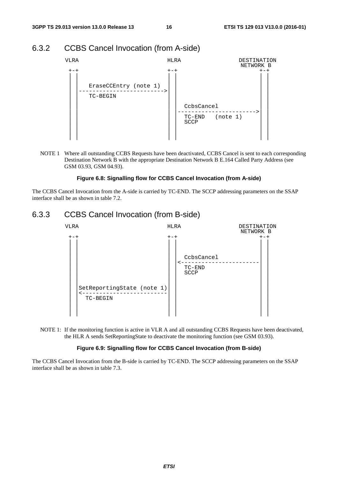### 6.3.2 CCBS Cancel Invocation (from A-side)



NOTE 1 Where all outstanding CCBS Requests have been deactivated, CCBS Cancel is sent to each corresponding Destination Network B with the appropriate Destination Network B E.164 Called Party Address (see GSM 03.93, GSM 04.93).

#### **Figure 6.8: Signalling flow for CCBS Cancel Invocation (from A-side)**

The CCBS Cancel Invocation from the A-side is carried by TC-END. The SCCP addressing parameters on the SSAP interface shall be as shown in table 7.2.

#### 6.3.3 CCBS Cancel Invocation (from B-side)



NOTE 1: If the monitoring function is active in VLR A and all outstanding CCBS Requests have been deactivated, the HLR A sends SetReportingState to deactivate the monitoring function (see GSM 03.93).

#### **Figure 6.9: Signalling flow for CCBS Cancel Invocation (from B-side)**

The CCBS Cancel Invocation from the B-side is carried by TC-END. The SCCP addressing parameters on the SSAP interface shall be as shown in table 7.3.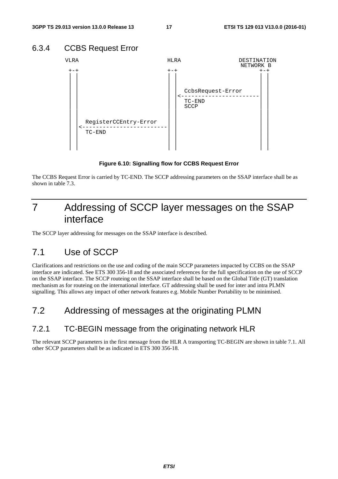## 6.3.4 CCBS Request Error



**Figure 6.10: Signalling flow for CCBS Request Error** 

The CCBS Request Error is carried by TC-END. The SCCP addressing parameters on the SSAP interface shall be as shown in table 7.3.

## 7 Addressing of SCCP layer messages on the SSAP interface

The SCCP layer addressing for messages on the SSAP interface is described.

## 7.1 Use of SCCP

Clarifications and restrictions on the use and coding of the main SCCP parameters impacted by CCBS on the SSAP interface are indicated. See ETS 300 356-18 and the associated references for the full specification on the use of SCCP on the SSAP interface. The SCCP routeing on the SSAP interface shall be based on the Global Title (GT) translation mechanism as for routeing on the international interface. GT addressing shall be used for inter and intra PLMN signalling. This allows any impact of other network features e.g. Mobile Number Portability to be minimised.

## 7.2 Addressing of messages at the originating PLMN

### 7.2.1 TC-BEGIN message from the originating network HLR

The relevant SCCP parameters in the first message from the HLR A transporting TC-BEGIN are shown in table 7.1. All other SCCP parameters shall be as indicated in ETS 300 356-18.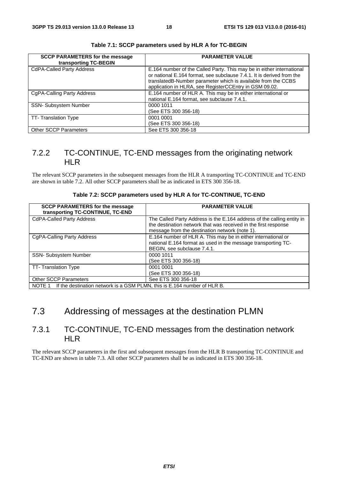| <b>SCCP PARAMETERS for the message</b><br>transporting TC-BEGIN | <b>PARAMETER VALUE</b>                                                                                                                                                                                                                                                    |
|-----------------------------------------------------------------|---------------------------------------------------------------------------------------------------------------------------------------------------------------------------------------------------------------------------------------------------------------------------|
| <b>CdPA-Called Party Address</b>                                | E.164 number of the Called Party. This may be in either international<br>or national E.164 format, see subclause 7.4.1. It is derived from the<br>translatedB-Number parameter which is available from the CCBS<br>application in HLRA, see RegisterCCEntry in GSM 09.02. |
| CgPA-Calling Party Address                                      | E.164 number of HLR A. This may be in either international or<br>national E.164 format, see subclause 7.4.1.                                                                                                                                                              |
| SSN- Subsystem Number                                           | 0000 1011<br>(See ETS 300 356-18)                                                                                                                                                                                                                                         |
| TT-Translation Type                                             | 0001 0001<br>(See ETS 300 356-18)                                                                                                                                                                                                                                         |
| <b>Other SCCP Parameters</b>                                    | See ETS 300 356-18                                                                                                                                                                                                                                                        |

**Table 7.1: SCCP parameters used by HLR A for TC-BEGIN** 

### 7.2.2 TC-CONTINUE, TC-END messages from the originating network **HLR**

The relevant SCCP parameters in the subsequent messages from the HLR A transporting TC-CONTINUE and TC-END are shown in table 7.2. All other SCCP parameters shall be as indicated in ETS 300 356-18.

| Table 7.2: SCCP parameters used by HLR A for TC-CONTINUE, TC-END |  |  |  |
|------------------------------------------------------------------|--|--|--|
|------------------------------------------------------------------|--|--|--|

| <b>SCCP PARAMETERS for the message</b><br>transporting TC-CONTINUE, TC-END      | <b>PARAMETER VALUE</b>                                                                                                                                                                      |  |
|---------------------------------------------------------------------------------|---------------------------------------------------------------------------------------------------------------------------------------------------------------------------------------------|--|
| <b>CdPA-Called Party Address</b>                                                | The Called Party Address is the E.164 address of the calling entity in<br>the destination network that was received in the first response<br>message from the destination network (note 1). |  |
| CgPA-Calling Party Address                                                      | E.164 number of HLR A. This may be in either international or<br>national E.164 format as used in the message transporting TC-<br>BEGIN, see subclause 7.4.1.                               |  |
| <b>SSN- Subsystem Number</b>                                                    | 0000 1011<br>(See ETS 300 356-18)                                                                                                                                                           |  |
| TT-Translation Type                                                             | 0001 0001<br>(See ETS 300 356-18)                                                                                                                                                           |  |
| <b>Other SCCP Parameters</b>                                                    | See ETS 300 356-18                                                                                                                                                                          |  |
| NOTE 1 If the destination network is a GSM PLMN, this is E.164 number of HLR B. |                                                                                                                                                                                             |  |

## 7.3 Addressing of messages at the destination PLMN

### 7.3.1 TC-CONTINUE, TC-END messages from the destination network HLR

The relevant SCCP parameters in the first and subsequent messages from the HLR B transporting TC-CONTINUE and TC-END are shown in table 7.3. All other SCCP parameters shall be as indicated in ETS 300 356-18.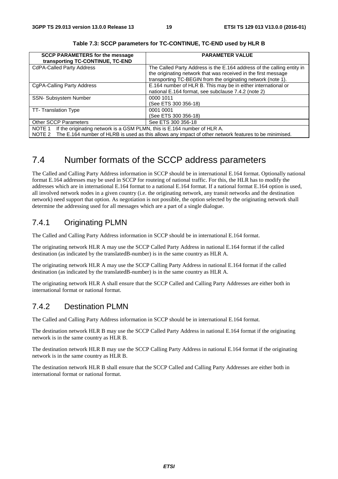| <b>SCCP PARAMETERS for the message</b><br>transporting TC-CONTINUE, TC-END                                                                                                                      | <b>PARAMETER VALUE</b>                                                                                                                                                                                   |  |
|-------------------------------------------------------------------------------------------------------------------------------------------------------------------------------------------------|----------------------------------------------------------------------------------------------------------------------------------------------------------------------------------------------------------|--|
| <b>CdPA-Called Party Address</b>                                                                                                                                                                | The Called Party Address is the E.164 address of the calling entity in<br>the originating network that was received in the first message<br>transporting TC-BEGIN from the originating network (note 1). |  |
| CgPA-Calling Party Address                                                                                                                                                                      | E.164 number of HLR B. This may be in either international or<br>national E.164 format, see subclause 7.4.2 (note 2)                                                                                     |  |
| <b>SSN- Subsystem Number</b>                                                                                                                                                                    | 0000 1011<br>(See ETS 300 356-18)                                                                                                                                                                        |  |
| TT-Translation Type                                                                                                                                                                             | 0001 0001<br>(See ETS 300 356-18)                                                                                                                                                                        |  |
| <b>Other SCCP Parameters</b>                                                                                                                                                                    | See ETS 300 356-18                                                                                                                                                                                       |  |
| NOTE 1 If the originating network is a GSM PLMN, this is E.164 number of HLR A.<br>NOTE 2 The E.164 number of HLRB is used as this allows any impact of other network features to be minimised. |                                                                                                                                                                                                          |  |

**Table 7.3: SCCP parameters for TC-CONTINUE, TC-END used by HLR B** 

## 7.4 Number formats of the SCCP address parameters

The Called and Calling Party Address information in SCCP should be in international E.164 format. Optionally national format E.164 addresses may be used in SCCP for routeing of national traffic. For this, the HLR has to modify the addresses which are in international E.164 format to a national E.164 format. If a national format E.164 option is used, all involved network nodes in a given country (i.e. the originating network, any transit networks and the destination network) need support that option. As negotiation is not possible, the option selected by the originating network shall determine the addressing used for all messages which are a part of a single dialogue.

### 7.4.1 Originating PLMN

The Called and Calling Party Address information in SCCP should be in international E.164 format.

The originating network HLR A may use the SCCP Called Party Address in national E.164 format if the called destination (as indicated by the translatedB-number) is in the same country as HLR A.

The originating network HLR A may use the SCCP Calling Party Address in national E.164 format if the called destination (as indicated by the translatedB-number) is in the same country as HLR A.

The originating network HLR A shall ensure that the SCCP Called and Calling Party Addresses are either both in international format or national format.

## 7.4.2 Destination PLMN

The Called and Calling Party Address information in SCCP should be in international E.164 format.

The destination network HLR B may use the SCCP Called Party Address in national E.164 format if the originating network is in the same country as HLR B.

The destination network HLR B may use the SCCP Calling Party Address in national E.164 format if the originating network is in the same country as HLR B.

The destination network HLR B shall ensure that the SCCP Called and Calling Party Addresses are either both in international format or national format.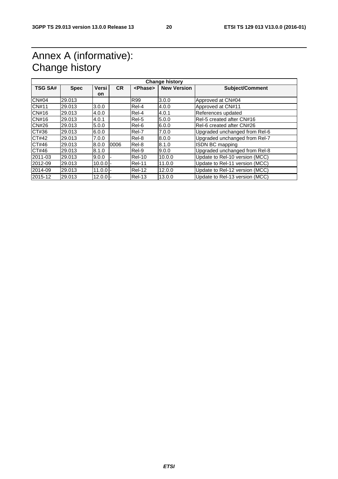## Annex A (informative): Change history

| <b>TSG SA#</b> | <b>Spec</b> | Versi      | <b>CR</b> | <phase></phase> | <b>New Version</b> | <b>Subject/Comment</b>         |
|----------------|-------------|------------|-----------|-----------------|--------------------|--------------------------------|
| <b>CN#04</b>   | 29.013      | on         |           | R99             | 3.0.0              | Approved at CN#04              |
| <b>CN#11</b>   |             |            |           |                 |                    |                                |
|                | 29.013      | 3.0.0      |           | Rel-4           | 4.0.0              | Approved at CN#11              |
| CN#16          | 29.013      | 4.0.0      |           | Rel-4           | 4.0.1              | References updated             |
| CN#16          | 29.013      | 4.0.1      |           | Rel-5           | 5.0.0              | Rel-5 created after CN#16      |
| <b>CN#26</b>   | 29.013      | 5.0.0      |           | Rel-6           | 6.0.0              | Rel-6 created after CN#26      |
| CT#36          | 29.013      | 6.0.0      |           | Rel-7           | 7.0.0              | Upgraded unchanged from Rel-6  |
| CT#42          | 29.013      | 7.0.0      |           | Rel-8           | 8.0.0              | Upgraded unchanged from Rel-7  |
| CT#46          | 29.013      | 8.0.0      | 0006      | Rel-8           | 8.1.0              | ISDN BC mapping                |
| CT#46          | 29.013      | 8.1.0      |           | Rel-9           | 9.0.0              | Upgraded unchanged from Rel-8  |
| 2011-03        | 29.013      | 9.0.0      |           | Rel-10          | 10.0.0             | Update to Rel-10 version (MCC) |
| 2012-09        | 29.013      | $10.0.0 -$ |           | Rel-11          | 11.0.0             | Update to Rel-11 version (MCC) |
| 2014-09        | 29.013      | $11.0.0 -$ |           | <b>Rel-12</b>   | 12.0.0             | Update to Rel-12 version (MCC) |
| 2015-12        | 29.013      | $12.0.0$ - |           | Rel-13          | 13.0.0             | Update to Rel-13 version (MCC) |